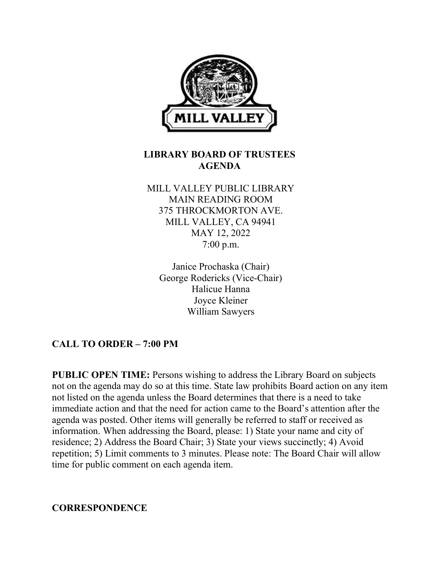

## LIBRARY BOARD OF TRUSTEES AGENDA

MILL VALLEY PUBLIC LIBRARY MAIN READING ROOM 375 THROCKMORTON AVE. MILL VALLEY, CA 94941 MAY 12, 2022 7:00 p.m.

Janice Prochaska (Chair) George Rodericks (Vice-Chair) Halicue Hanna Joyce Kleiner William Sawyers

# CALL TO ORDER – 7:00 PM

PUBLIC OPEN TIME: Persons wishing to address the Library Board on subjects not on the agenda may do so at this time. State law prohibits Board action on any item not listed on the agenda unless the Board determines that there is a need to take immediate action and that the need for action came to the Board's attention after the agenda was posted. Other items will generally be referred to staff or received as information. When addressing the Board, please: 1) State your name and city of residence; 2) Address the Board Chair; 3) State your views succinctly; 4) Avoid repetition; 5) Limit comments to 3 minutes. Please note: The Board Chair will allow time for public comment on each agenda item.

**CORRESPONDENCE**